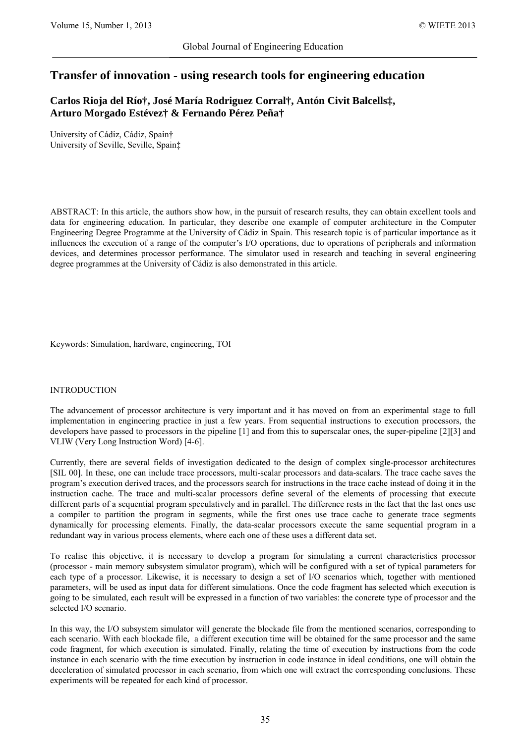# **Transfer of innovation - using research tools for engineering education**

**Carlos Rioja del Río†, José María Rodriguez Corral†, Antón Civit Balcells‡, Arturo Morgado Estévez† & Fernando Pérez Peña†**

University of Cádiz, Cádiz, Spain† University of Seville, Seville, Spain‡

ABSTRACT: In this article, the authors show how, in the pursuit of research results, they can obtain excellent tools and data for engineering education. In particular, they describe one example of computer architecture in the Computer Engineering Degree Programme at the University of Cádiz in Spain. This research topic is of particular importance as it influences the execution of a range of the computer's I/O operations, due to operations of peripherals and information devices, and determines processor performance. The simulator used in research and teaching in several engineering degree programmes at the University of Cádiz is also demonstrated in this article.

Keywords: Simulation, hardware, engineering, TOI

### INTRODUCTION

The advancement of processor architecture is very important and it has moved on from an experimental stage to full implementation in engineering practice in just a few years. From sequential instructions to execution processors, the developers have passed to processors in the pipeline [1] and from this to superscalar ones, the super-pipeline [2][3] and VLIW (Very Long Instruction Word) [4-6].

Currently, there are several fields of investigation dedicated to the design of complex single-processor architectures [SIL 00]. In these, one can include trace processors, multi-scalar processors and data-scalars. The trace cache saves the program's execution derived traces, and the processors search for instructions in the trace cache instead of doing it in the instruction cache. The trace and multi-scalar processors define several of the elements of processing that execute different parts of a sequential program speculatively and in parallel. The difference rests in the fact that the last ones use a compiler to partition the program in segments, while the first ones use trace cache to generate trace segments dynamically for processing elements. Finally, the data-scalar processors execute the same sequential program in a redundant way in various process elements, where each one of these uses a different data set.

To realise this objective, it is necessary to develop a program for simulating a current characteristics processor (processor - main memory subsystem simulator program), which will be configured with a set of typical parameters for each type of a processor. Likewise, it is necessary to design a set of I/O scenarios which, together with mentioned parameters, will be used as input data for different simulations. Once the code fragment has selected which execution is going to be simulated, each result will be expressed in a function of two variables: the concrete type of processor and the selected I/O scenario.

In this way, the I/O subsystem simulator will generate the blockade file from the mentioned scenarios, corresponding to each scenario. With each blockade file, a different execution time will be obtained for the same processor and the same code fragment, for which execution is simulated. Finally, relating the time of execution by instructions from the code instance in each scenario with the time execution by instruction in code instance in ideal conditions, one will obtain the deceleration of simulated processor in each scenario, from which one will extract the corresponding conclusions. These experiments will be repeated for each kind of processor.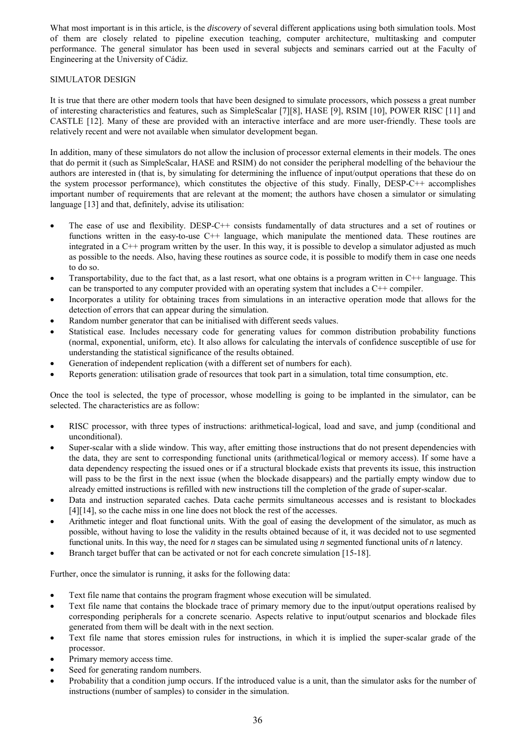What most important is in this article, is the *discovery* of several different applications using both simulation tools. Most of them are closely related to pipeline execution teaching, computer architecture, multitasking and computer performance. The general simulator has been used in several subjects and seminars carried out at the Faculty of Engineering at the University of Cádiz.

# SIMULATOR DESIGN

It is true that there are other modern tools that have been designed to simulate processors, which possess a great number of interesting characteristics and features, such as SimpleScalar [7][8], HASE [9], RSIM [10], POWER RISC [11] and CASTLE [12]. Many of these are provided with an interactive interface and are more user-friendly. These tools are relatively recent and were not available when simulator development began.

In addition, many of these simulators do not allow the inclusion of processor external elements in their models. The ones that do permit it (such as SimpleScalar, HASE and RSIM) do not consider the peripheral modelling of the behaviour the authors are interested in (that is, by simulating for determining the influence of input/output operations that these do on the system processor performance), which constitutes the objective of this study. Finally, DESP-C++ accomplishes important number of requirements that are relevant at the moment; the authors have chosen a simulator or simulating language [13] and that, definitely, advise its utilisation:

- The ease of use and flexibility. DESP-C++ consists fundamentally of data structures and a set of routines or functions written in the easy-to-use C++ language, which manipulate the mentioned data. These routines are integrated in a C++ program written by the user. In this way, it is possible to develop a simulator adjusted as much as possible to the needs. Also, having these routines as source code, it is possible to modify them in case one needs to do so.
- Transportability, due to the fact that, as a last resort, what one obtains is a program written in  $C++$  language. This can be transported to any computer provided with an operating system that includes a C++ compiler.
- Incorporates a utility for obtaining traces from simulations in an interactive operation mode that allows for the detection of errors that can appear during the simulation.
- Random number generator that can be initialised with different seeds values.
- Statistical ease. Includes necessary code for generating values for common distribution probability functions (normal, exponential, uniform, etc). It also allows for calculating the intervals of confidence susceptible of use for understanding the statistical significance of the results obtained.
- Generation of independent replication (with a different set of numbers for each).
- Reports generation: utilisation grade of resources that took part in a simulation, total time consumption, etc.

Once the tool is selected, the type of processor, whose modelling is going to be implanted in the simulator, can be selected. The characteristics are as follow:

- RISC processor, with three types of instructions: arithmetical-logical, load and save, and jump (conditional and unconditional).
- Super-scalar with a slide window. This way, after emitting those instructions that do not present dependencies with the data, they are sent to corresponding functional units (arithmetical/logical or memory access). If some have a data dependency respecting the issued ones or if a structural blockade exists that prevents its issue, this instruction will pass to be the first in the next issue (when the blockade disappears) and the partially empty window due to already emitted instructions is refilled with new instructions till the completion of the grade of super-scalar.
- Data and instruction separated caches. Data cache permits simultaneous accesses and is resistant to blockades [4][14], so the cache miss in one line does not block the rest of the accesses.
- Arithmetic integer and float functional units. With the goal of easing the development of the simulator, as much as possible, without having to lose the validity in the results obtained because of it, it was decided not to use segmented functional units. In this way, the need for *n* stages can be simulated using *n* segmented functional units of *n* latency.
- Branch target buffer that can be activated or not for each concrete simulation [15-18].

Further, once the simulator is running, it asks for the following data:

- Text file name that contains the program fragment whose execution will be simulated.
- Text file name that contains the blockade trace of primary memory due to the input/output operations realised by corresponding peripherals for a concrete scenario. Aspects relative to input/output scenarios and blockade files generated from them will be dealt with in the next section.
- Text file name that stores emission rules for instructions, in which it is implied the super-scalar grade of the processor.
- Primary memory access time.
- Seed for generating random numbers.
- Probability that a condition jump occurs. If the introduced value is a unit, than the simulator asks for the number of instructions (number of samples) to consider in the simulation.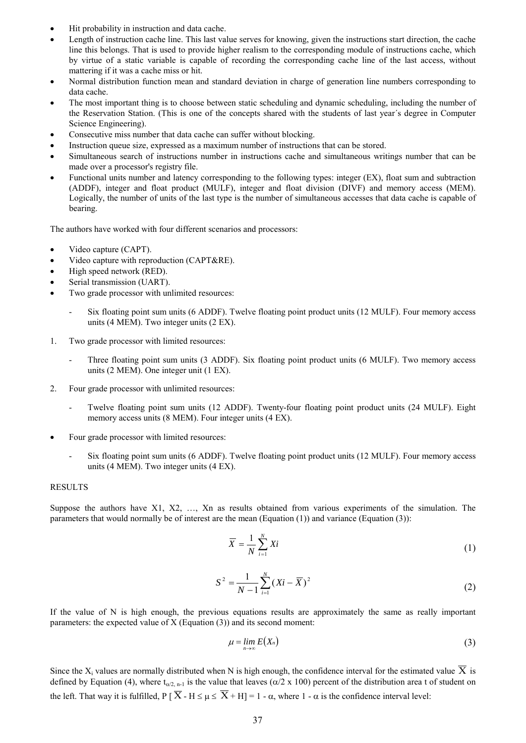- Hit probability in instruction and data cache.
- Length of instruction cache line. This last value serves for knowing, given the instructions start direction, the cache line this belongs. That is used to provide higher realism to the corresponding module of instructions cache, which by virtue of a static variable is capable of recording the corresponding cache line of the last access, without mattering if it was a cache miss or hit.
- Normal distribution function mean and standard deviation in charge of generation line numbers corresponding to data cache.
- The most important thing is to choose between static scheduling and dynamic scheduling, including the number of the Reservation Station. (This is one of the concepts shared with the students of last year´s degree in Computer Science Engineering).
- Consecutive miss number that data cache can suffer without blocking.
- Instruction queue size, expressed as a maximum number of instructions that can be stored.
- Simultaneous search of instructions number in instructions cache and simultaneous writings number that can be made over a processor's registry file.
- Functional units number and latency corresponding to the following types: integer (EX), float sum and subtraction (ADDF), integer and float product (MULF), integer and float division (DIVF) and memory access (MEM). Logically, the number of units of the last type is the number of simultaneous accesses that data cache is capable of bearing.

The authors have worked with four different scenarios and processors:

- Video capture (CAPT).
- Video capture with reproduction (CAPT&RE).
- High speed network (RED).
- Serial transmission (UART).
- Two grade processor with unlimited resources:
	- Six floating point sum units (6 ADDF). Twelve floating point product units (12 MULF). Four memory access units (4 MEM). Two integer units (2 EX).
- 1. Two grade processor with limited resources:
	- Three floating point sum units (3 ADDF). Six floating point product units (6 MULF). Two memory access units (2 MEM). One integer unit (1 EX).
- 2. Four grade processor with unlimited resources:
	- Twelve floating point sum units (12 ADDF). Twenty-four floating point product units (24 MULF). Eight memory access units (8 MEM). Four integer units (4 EX).
- Four grade processor with limited resources:
	- Six floating point sum units (6 ADDF). Twelve floating point product units (12 MULF). Four memory access units (4 MEM). Two integer units (4 EX).

#### RESULTS

Suppose the authors have X1, X2, …, Xn as results obtained from various experiments of the simulation. The parameters that would normally be of interest are the mean (Equation (1)) and variance (Equation (3)):

$$
\overline{X} = \frac{1}{N} \sum_{i=1}^{N} Xi
$$
 (1)

$$
S^{2} = \frac{1}{N-1} \sum_{i=1}^{N} (Xi - \overline{X})^{2}
$$
 (2)

If the value of N is high enough, the previous equations results are approximately the same as really important parameters: the expected value of X (Equation (3)) and its second moment:

$$
\mu = \lim_{n \to \infty} E(X_n) \tag{3}
$$

Since the X<sub>i</sub> values are normally distributed when N is high enough, the confidence interval for the estimated value  $\overline{X}$  is defined by Equation (4), where  $t_{\alpha/2,n-1}$  is the value that leaves ( $\alpha/2 \times 100$ ) percent of the distribution area t of student on the left. That way it is fulfilled,  $P[\overline{X} - H \leq \mu \leq \overline{X} + H] = 1 - \alpha$ , where  $1 - \alpha$  is the confidence interval level: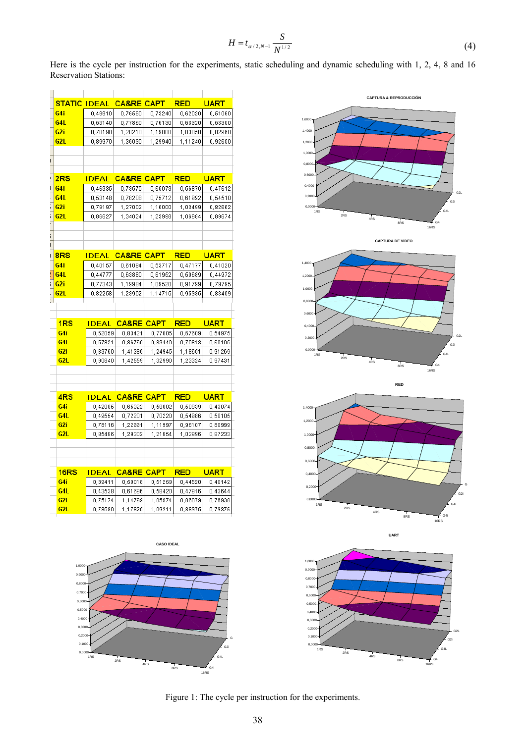$$
H = t_{\alpha/2, N-1} \frac{S}{N^{1/2}}
$$
 (4)

Here is the cycle per instruction for the experiments, static scheduling and dynamic scheduling with 1, 2, 4, 8 and 16 Reservation Stations:

|   | <b>STATIC IDEAL</b> |                    | <b>CA&amp;RE CAPT</b>         |                    | <b>RED</b>         | <b>UART</b>        |
|---|---------------------|--------------------|-------------------------------|--------------------|--------------------|--------------------|
|   | G4i                 | 0,49910            | 0,76560                       | 0,73240            | 0,62020            | 0,51060            |
|   | G4L                 | 0,63140            | 0,77860                       | 0,76130            | 0,63920            | 0,53300            |
|   | G2i                 | 0,78190            | 1,28210                       | 1,19000            | 1,03850            | 0,82960            |
|   | G2L                 | 0,89970            | 1,36090                       | 1,29940            | 1,11240            | 0,92650            |
|   |                     |                    |                               |                    |                    |                    |
|   |                     |                    |                               |                    |                    |                    |
|   |                     |                    |                               |                    |                    |                    |
|   | 2RS                 |                    | <u>IDEAL CA&amp;RE CAPT I</u> |                    | <b>RED</b>         | <b>UART</b>        |
|   | G4i                 | 0,46335            | 0,73575                       | 0,65073            | 0,56870            | 0,47612            |
|   | G4L                 | 0,53148            | 0,78208                       | 0,75712            | 0,61992            | 0,54510            |
|   | G <sub>2i</sub>     | 0,79197            | 1,27002                       | 1,16000            | 1,03499            | 0,82662            |
|   | G2L                 | 0,86627            | 1,34024                       | 1,23998            | 1,06984            | 0,89674            |
|   |                     |                    |                               |                    |                    |                    |
|   |                     |                    |                               |                    |                    |                    |
|   |                     |                    |                               |                    |                    |                    |
| I | 8RS                 | <b>IDEAL</b>       | <b>CA&amp;RE CAPT</b>         |                    | <b>RED</b>         | <b>UART</b>        |
|   | G4i                 | 0,40157            | 0,61084                       | 0,53717            | 0,47177            | 0,41020            |
|   | G4L                 | 0,44777            | 0,63880                       | 0,61952            | 0,60689            | 0,44972            |
|   | G <sub>2i</sub>     | 0,77343            | 1,19984                       | 1,09520            | 0,91799            | 0,79795            |
|   | G2L                 | 0,82258            | 1,23902                       | 1,14715            | 0,95935            | 0,83409            |
|   |                     |                    |                               |                    |                    |                    |
|   |                     |                    |                               |                    |                    |                    |
|   |                     |                    |                               |                    |                    |                    |
|   | 1 <sub>RS</sub>     |                    | <u>IDEAL CA&amp;RE CAPT -</u> |                    | <b>RED</b>         | <b>UART</b>        |
|   | G4i                 | 0,52059            | 0,83421                       | 0,77005            | 0,67609            | 0,64976            |
|   | G4L                 | 0,57821            | 0,86760                       | 0,83440            | 0,70813            | 0,60105            |
|   | G2i                 | 0,83760            | 1,41386                       | 1,24945            | 1,18651            | 0,91269            |
|   | G <sub>2L</sub>     | 0,90840            | 1,42559                       | 1,32990            | 1,23324            | 0,97431            |
|   |                     |                    |                               |                    |                    |                    |
|   |                     |                    |                               |                    |                    |                    |
|   |                     |                    |                               |                    |                    |                    |
|   | 4RS                 |                    | <u>IDEAL_CA&amp;RE CAPT_</u>  |                    | <b>RED</b>         | <b>UART</b>        |
|   | G4i                 | 0,42085            | 0,66322                       | 0,58002            | 0,60939            | 0,43074            |
|   | G4L                 | 0,49554            | 0,72201                       | 0,70220            | 0,64986            | 0,50105            |
|   | G2i                 | 0,78116            | 1,22991                       | 1,11997            | 0,96107            | 0,80999            |
|   | G2L                 | 0,85486            | 1,29302                       | 1,21854            | 1,02996            | 0,87233            |
|   |                     |                    |                               |                    |                    |                    |
|   |                     |                    |                               |                    |                    |                    |
|   |                     |                    |                               |                    |                    |                    |
|   | 16 <sub>RS</sub>    |                    | IDEAL CA&RE CAPT              |                    | <b>RED</b>         | <b>UART</b>        |
|   | G4i                 | 0,39411            | 0,59018                       | 0,61269            | 0,44520            | 0,40142            |
|   | G4L                 | 0,43538            | 0,61696                       | 0,58420            | 0,47916            | 0,43644            |
|   | G2i<br>G2L          | 0,75174<br>0,78580 | 1,14799<br>1,17825            | 1,05974<br>1,09211 | 0,86079<br>0,88975 | 0,76938<br>0,79376 |











Figure 1: The cycle per instruction for the experiments.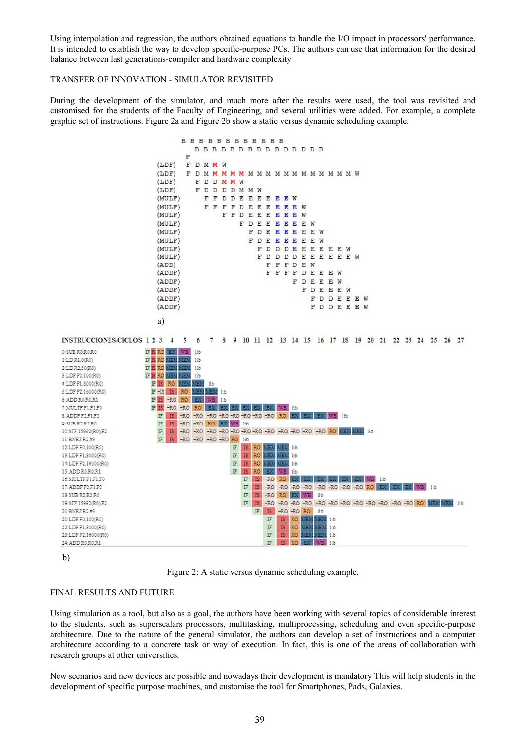Using interpolation and regression, the authors obtained equations to handle the I/O impact in processors' performance. It is intended to establish the way to develop specific-purpose PCs. The authors can use that information for the desired balance between last generations-compiler and hardware complexity.

## TRANSFER OF INNOVATION - SIMULATOR REVISITED

During the development of the simulator, and much more after the results were used, the tool was revisited and customised for the students of the Faculty of Engineering, and several utilities were added. For example, a complete graphic set of instructions. Figure 2a and Figure 2b show a static versus dynamic scheduling example.



b)

Figure 2: A static versus dynamic scheduling example.

# FINAL RESULTS AND FUTURE

Using simulation as a tool, but also as a goal, the authors have been working with several topics of considerable interest to the students, such as superscalars processors, multitasking, multiprocessing, scheduling and even specific-purpose architecture. Due to the nature of the general simulator, the authors can develop a set of instructions and a computer architecture according to a concrete task or way of execution. In fact, this is one of the areas of collaboration with research groups at other universities.

New scenarios and new devices are possible and nowadays their development is mandatory This will help students in the development of specific purpose machines, and customise the tool for Smartphones, Pads, Galaxies.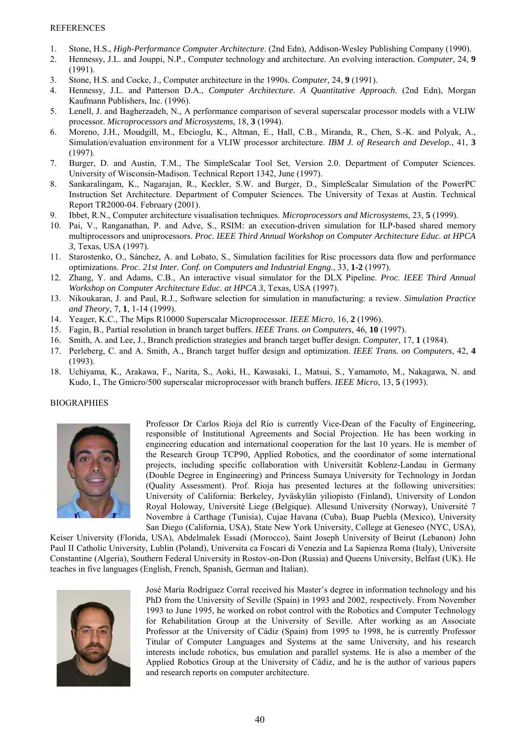- 1. Stone, H.S., *High-Performance Computer Architecture*. (2nd Edn), Addison-Wesley Publishing Company (1990).
- 2. Hennessy, J.L. and Jouppi, N.P., Computer technology and architecture. An evolving interaction. *Computer*, 24, **9** (1991).
- 3. Stone, H.S. and Cocke, J., Computer architecture in the 1990s. *Computer*, 24, **9** (1991).
- 4. Hennessy, J.L. and Patterson D.A., *Computer Architecture. A Quantitative Approach*. (2nd Edn), Morgan Kaufmann Publishers, Inc. (1996).
- 5. Lenell, J. and Bagherzadeh, N., A performance comparison of several superscalar processor models with a VLIW processor. *Microprocessors and Microsystems*, 18, **3** (1994).
- 6. Moreno, J.H., Moudgill, M., Ebcioglu, K., Altman, E., Hall, C.B., Miranda, R., Chen, S.-K. and Polyak, A., Simulation/evaluation environment for a VLIW processor architecture. *IBM J. of Research and Develop.*, 41, **3** (1997).
- 7. Burger, D. and Austin, T.M., The SimpleScalar Tool Set, Version 2.0. Department of Computer Sciences. University of Wisconsin-Madison. Technical Report 1342, June (1997).
- 8. Sankaralingam, K., Nagarajan, R., Keckler, S.W. and Burger, D., SimpleScalar Simulation of the PowerPC Instruction Set Architecture. Department of Computer Sciences. The University of Texas at Austin. Technical Report TR2000-04. February (2001).
- 9. Ibbet, R.N., Computer architecture visualisation techniques. *Microprocessors and Microsystems*, 23, **5** (1999).
- 10. Pai, V., Ranganathan, P. and Adve, S., RSIM: an execution-driven simulation for ILP-based shared memory multiprocessors and uniprocessors. *Proc. IEEE Third Annual Workshop on Computer Architecture Educ. at HPCA 3*, Texas, USA (1997).
- 11. Starostenko, O., Sánchez, A. and Lobato, S., Simulation facilities for Risc processors data flow and performance optimizations. *Proc. 21st Inter. Conf. on Computers and Industrial Engng.*, 33, **1-2** (1997).
- 12. Zhang, Y. and Adams, C.B., An interactive visual simulator for the DLX Pipeline. *Proc. IEEE Third Annual Workshop on Computer Architecture Educ. at HPCA 3*, Texas, USA (1997).
- 13. Nikoukaran, J. and Paul, R.J., Software selection for simulation in manufacturing: a review. *Simulation Practice and Theory*, 7, **1**, 1-14 (1999).
- 14. Yeager, K.C., The Mips R10000 Superscalar Microprocessor. *IEEE Micro*, 16, **2** (1996).
- 15. Fagin, B., Partial resolution in branch target buffers. *IEEE Trans. on Computers*, 46, **10** (1997).
- 16. Smith, A. and Lee, J., Branch prediction strategies and branch target buffer design. *Computer*, 17, **1** (1984).
- 17. Perleberg, C. and A. Smith, A., Branch target buffer design and optimization. *IEEE Trans. on Computers*, 42, **4** (1993).
- 18. Uchiyama, K., Arakawa, F., Narita, S., Aoki, H., Kawasaki, I., Matsui, S., Yamamoto, M., Nakagawa, N. and Kudo, I., The Gmicro/500 superscalar microprocessor with branch buffers. *IEEE Micro*, 13, **5** (1993).

### BIOGRAPHIES



Professor Dr Carlos Rioja del Río is currently Vice-Dean of the Faculty of Engineering, responsible of Institutional Agreements and Social Projection. He has been working in engineering education and international cooperation for the last 10 years. He is member of the Research Group TCP90, Applied Robotics, and the coordinator of some international projects, including specific collaboration with Universität Koblenz-Landau in Germany (Double Degree in Engineering) and Princess Sumaya University for Technology in Jordan (Quality Assessment). Prof. Rioja has presented lectures at the following universities: University of California: Berkeley, Jyväskylän yiliopisto (Finland), University of London Royal Holoway, Université Liege (Belgique). Allesund University (Norway), Université 7 Novembre á Carthage (Tunisia), Cujae Havana (Cuba), Buap Puebla (Mexico), University San Diego (California, USA), State New York University, College at Geneseo (NYC, USA),

Keiser University (Florida, USA), Abdelmalek Essadi (Morocco), Saint Joseph University of Beirut (Lebanon) John Paul II Catholic University, Lublin (Poland), Universita ca Foscari di Venezia and La Sapienza Roma (Italy), Universite Constantine (Algeria), Southern Federal University in Rostov-on-Don (Russia) and Queens University, Belfast (UK). He teaches in five languages (English, French, Spanish, German and Italian).



José María Rodríguez Corral received his Master's degree in information technology and his PhD from the University of Seville (Spain) in 1993 and 2002, respectively. From November 1993 to June 1995, he worked on robot control with the Robotics and Computer Technology for Rehabilitation Group at the University of Seville. After working as an Associate Professor at the University of Cádiz (Spain) from 1995 to 1998, he is currently Professor Titular of Computer Languages and Systems at the same University, and his research interests include robotics, bus emulation and parallel systems. He is also a member of the Applied Robotics Group at the University of Cádiz, and he is the author of various papers and research reports on computer architecture.